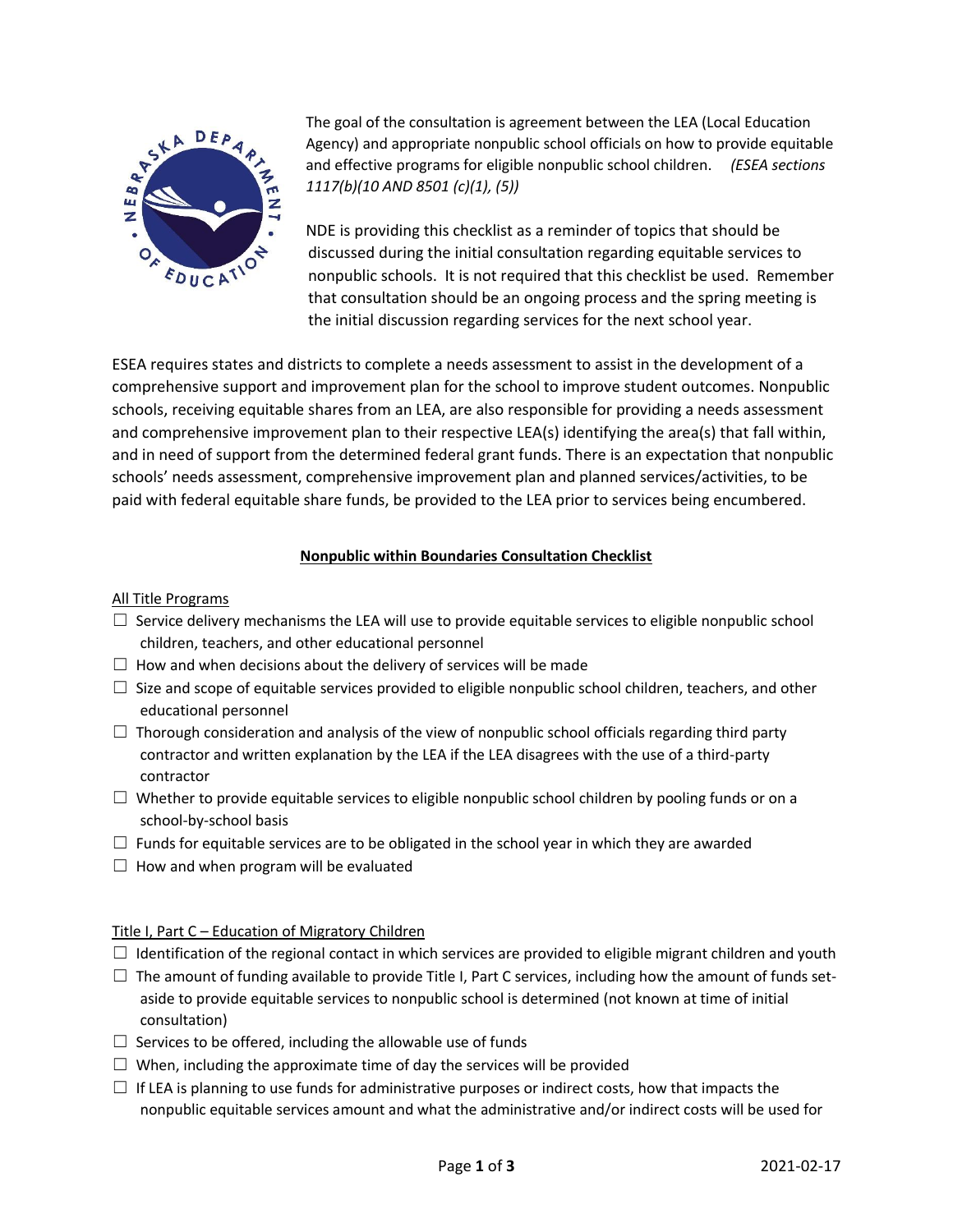

The goal of the consultation is agreement between the LEA (Local Education Agency) and appropriate nonpublic school officials on how to provide equitable and effective programs for eligible nonpublic school children. *(ESEA sections 1117(b)(10 AND 8501 (c)(1), (5))*

NDE is providing this checklist as a reminder of topics that should be discussed during the initial consultation regarding equitable services to nonpublic schools. It is not required that this checklist be used. Remember that consultation should be an ongoing process and the spring meeting is the initial discussion regarding services for the next school year.

ESEA requires states and districts to complete a needs assessment to assist in the development of a comprehensive support and improvement plan for the school to improve student outcomes. Nonpublic schools, receiving equitable shares from an LEA, are also responsible for providing a needs assessment and comprehensive improvement plan to their respective LEA(s) identifying the area(s) that fall within, and in need of support from the determined federal grant funds. There is an expectation that nonpublic schools' needs assessment, comprehensive improvement plan and planned services/activities, to be paid with federal equitable share funds, be provided to the LEA prior to services being encumbered.

# **Nonpublic within Boundaries Consultation Checklist**

## All Title Programs

- $\Box$  Service delivery mechanisms the LEA will use to provide equitable services to eligible nonpublic school children, teachers, and other educational personnel
- $\Box$  How and when decisions about the delivery of services will be made
- $\Box$  Size and scope of equitable services provided to eligible nonpublic school children, teachers, and other educational personnel
- $\Box$  Thorough consideration and analysis of the view of nonpublic school officials regarding third party contractor and written explanation by the LEA if the LEA disagrees with the use of a third-party contractor
- $\Box$  Whether to provide equitable services to eligible nonpublic school children by pooling funds or on a school-by-school basis
- $\Box$  Funds for equitable services are to be obligated in the school year in which they are awarded
- $\Box$  How and when program will be evaluated

## Title I, Part C – Education of Migratory Children

- $\Box$  Identification of the regional contact in which services are provided to eligible migrant children and youth
- $\Box$  The amount of funding available to provide Title I, Part C services, including how the amount of funds setaside to provide equitable services to nonpublic school is determined (not known at time of initial consultation)
- $\Box$  Services to be offered, including the allowable use of funds
- $\Box$  When, including the approximate time of day the services will be provided
- $\Box$  If LEA is planning to use funds for administrative purposes or indirect costs, how that impacts the nonpublic equitable services amount and what the administrative and/or indirect costs will be used for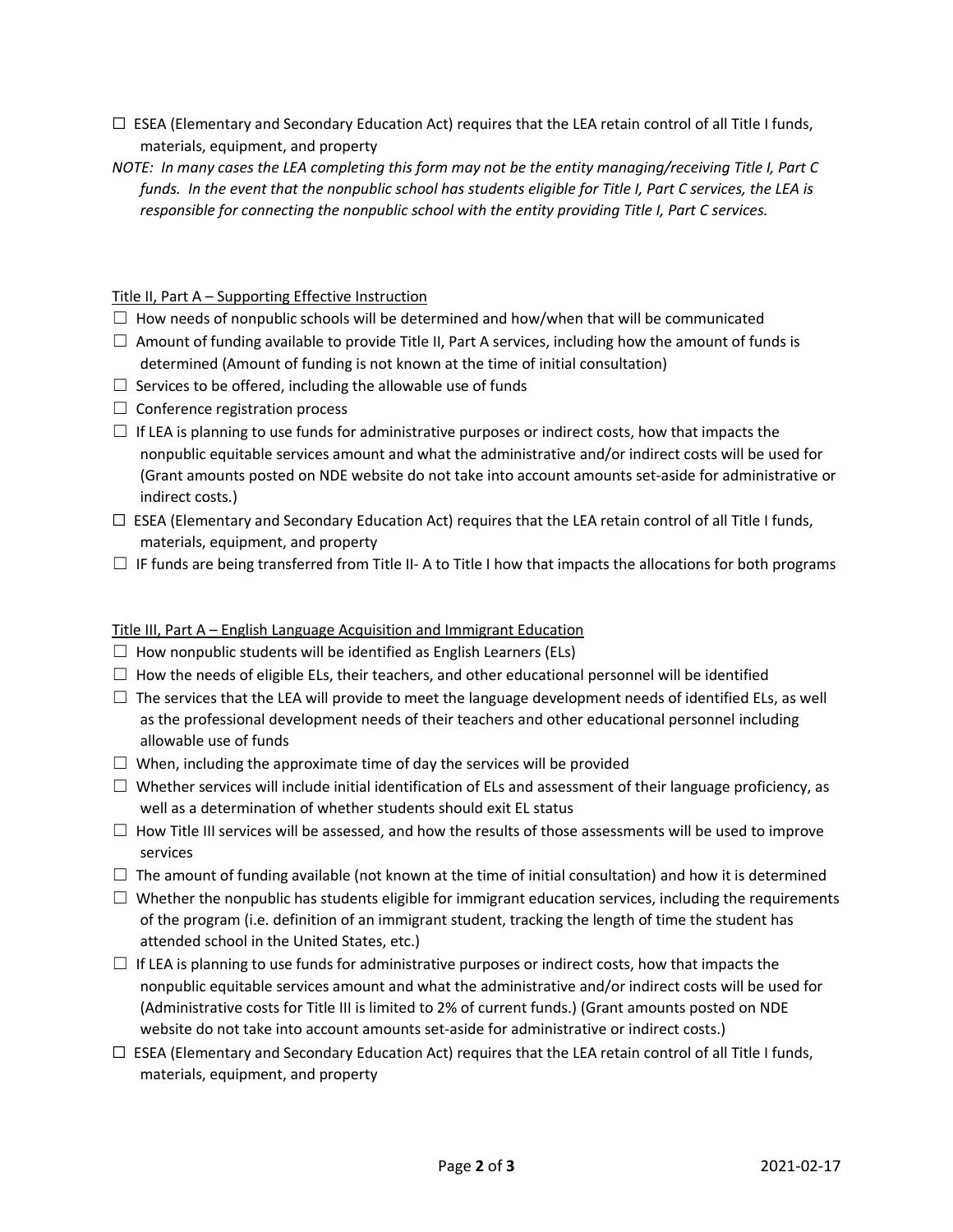- $\Box$  ESEA (Elementary and Secondary Education Act) requires that the LEA retain control of all Title I funds, materials, equipment, and property
- *NOTE: In many cases the LEA completing this form may not be the entity managing/receiving Title I, Part C funds. In the event that the nonpublic school has students eligible for Title I, Part C services, the LEA is responsible for connecting the nonpublic school with the entity providing Title I, Part C services.*

## Title II, Part A – Supporting Effective Instruction

- $\Box$  How needs of nonpublic schools will be determined and how/when that will be communicated
- $\Box$  Amount of funding available to provide Title II, Part A services, including how the amount of funds is determined (Amount of funding is not known at the time of initial consultation)
- $\Box$  Services to be offered, including the allowable use of funds
- $\Box$  Conference registration process
- $\Box$  If LEA is planning to use funds for administrative purposes or indirect costs, how that impacts the nonpublic equitable services amount and what the administrative and/or indirect costs will be used for (Grant amounts posted on NDE website do not take into account amounts set-aside for administrative or indirect costs.)
- ☐ ESEA (Elementary and Secondary Education Act) requires that the LEA retain control of all Title I funds, materials, equipment, and property
- $\Box$  IF funds are being transferred from Title II- A to Title I how that impacts the allocations for both programs

## Title III, Part A – English Language Acquisition and Immigrant Education

- $\Box$  How nonpublic students will be identified as English Learners (ELs)
- $\Box$  How the needs of eligible ELs, their teachers, and other educational personnel will be identified
- $\Box$  The services that the LEA will provide to meet the language development needs of identified ELs, as well as the professional development needs of their teachers and other educational personnel including allowable use of funds
- $\Box$  When, including the approximate time of day the services will be provided
- ☐ Whether services will include initial identification of ELs and assessment of their language proficiency, as well as a determination of whether students should exit EL status
- $\Box$  How Title III services will be assessed, and how the results of those assessments will be used to improve services
- $\Box$  The amount of funding available (not known at the time of initial consultation) and how it is determined
- $\Box$  Whether the nonpublic has students eligible for immigrant education services, including the requirements of the program (i.e. definition of an immigrant student, tracking the length of time the student has attended school in the United States, etc.)
- $\Box$  If LEA is planning to use funds for administrative purposes or indirect costs, how that impacts the nonpublic equitable services amount and what the administrative and/or indirect costs will be used for (Administrative costs for Title III is limited to 2% of current funds.) (Grant amounts posted on NDE website do not take into account amounts set-aside for administrative or indirect costs.)
- $\Box$  ESEA (Elementary and Secondary Education Act) requires that the LEA retain control of all Title I funds, materials, equipment, and property